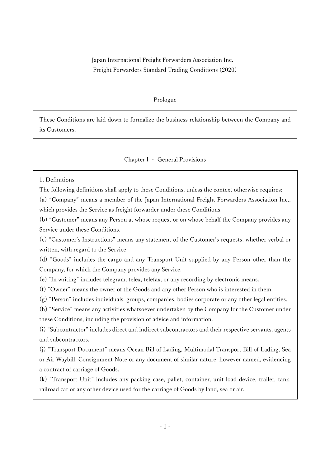Japan International Freight Forwarders Association Inc. Freight Forwarders Standard Trading Conditions (2020)

#### Prologue

These Conditions are laid down to formalize the business relationship between the Company and its Customers.

#### Chapter I ‐ General Provisions

### 1. Definitions

The following definitions shall apply to these Conditions, unless the context otherwise requires:

(a) "Company" means a member of the Japan International Freight Forwarders Association Inc., which provides the Service as freight forwarder under these Conditions.

(b) "Customer" means any Person at whose request or on whose behalf the Company provides any Service under these Conditions.

(c) "Customer's Instructions" means any statement of the Customer's requests, whether verbal or written, with regard to the Service.

(d) "Goods" includes the cargo and any Transport Unit supplied by any Person other than the Company, for which the Company provides any Service.

(e) "In writing" includes telegram, telex, telefax, or any recording by electronic means.

(f) "Owner" means the owner of the Goods and any other Person who is interested in them.

(g) "Person" includes individuals, groups, companies, bodies corporate or any other legal entities.

(h) "Service" means any activities whatsoever undertaken by the Company for the Customer under these Conditions, including the provision of advice and information.

(i) "Subcontractor" includes direct and indirect subcontractors and their respective servants, agents and subcontractors.

(j) "Transport Document" means Ocean Bill of Lading, Multimodal Transport Bill of Lading, Sea or Air Waybill, Consignment Note or any document of similar nature, however named, evidencing a contract of carriage of Goods.

(k) "Transport Unit" includes any packing case, pallet, container, unit load device, trailer, tank, railroad car or any other device used for the carriage of Goods by land, sea or air.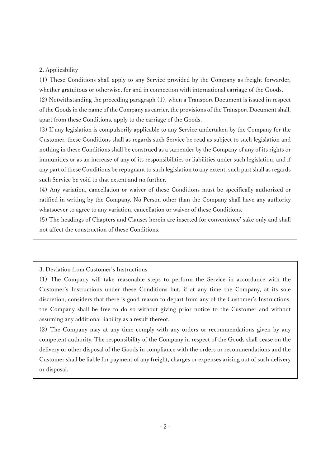### 2. Applicability

(1) These Conditions shall apply to any Service provided by the Company as freight forwarder, whether gratuitous or otherwise, for and in connection with international carriage of the Goods.

(2) Notwithstanding the preceding paragraph (1), when a Transport Document is issued in respect of the Goods in the name of the Company as carrier, the provisions of the Transport Document shall, apart from these Conditions, apply to the carriage of the Goods.

(3) If any legislation is compulsorily applicable to any Service undertaken by the Company for the Customer, these Conditions shall as regards such Service be read as subject to such legislation and nothing in these Conditions shall be construed as a surrender by the Company of any of its rights or immunities or as an increase of any of its responsibilities or liabilities under such legislation, and if any part of these Conditions be repugnant to such legislation to any extent, such part shall as regards such Service be void to that extent and no further.

(4) Any variation, cancellation or waiver of these Conditions must be specifically authorized or ratified in writing by the Company. No Person other than the Company shall have any authority whatsoever to agree to any variation, cancellation or waiver of these Conditions.

(5) The headings of Chapters and Clauses herein are inserted for convenience' sake only and shall not affect the construction of these Conditions.

3. Deviation from Customer's Instructions

(1) The Company will take reasonable steps to perform the Service in accordance with the Customer's Instructions under these Conditions but, if at any time the Company, at its sole discretion, considers that there is good reason to depart from any of the Customer's Instructions, the Company shall be free to do so without giving prior notice to the Customer and without assuming any additional liability as a result thereof.

(2) The Company may at any time comply with any orders or recommendations given by any competent authority. The responsibility of the Company in respect of the Goods shall cease on the delivery or other disposal of the Goods in compliance with the orders or recommendations and the Customer shall be liable for payment of any freight, charges or expenses arising out of such delivery or disposal.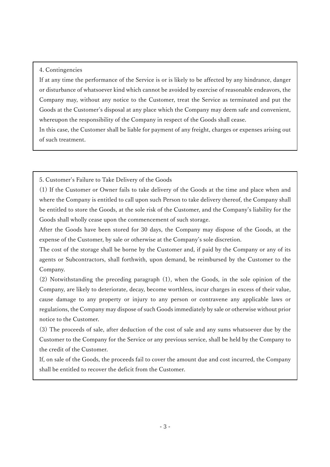## 4. Contingencies

If at any time the performance of the Service is or is likely to be affected by any hindrance, danger or disturbance of whatsoever kind which cannot be avoided by exercise of reasonable endeavors, the Company may, without any notice to the Customer, treat the Service as terminated and put the Goods at the Customer's disposal at any place which the Company may deem safe and convenient, whereupon the responsibility of the Company in respect of the Goods shall cease.

In this case, the Customer shall be liable for payment of any freight, charges or expenses arising out of such treatment.

5. Customer's Failure to Take Delivery of the Goods

(1) If the Customer or Owner fails to take delivery of the Goods at the time and place when and where the Company is entitled to call upon such Person to take delivery thereof, the Company shall be entitled to store the Goods, at the sole risk of the Customer, and the Company's liability for the Goods shall wholly cease upon the commencement of such storage.

After the Goods have been stored for 30 days, the Company may dispose of the Goods, at the expense of the Customer, by sale or otherwise at the Company's sole discretion.

The cost of the storage shall be borne by the Customer and, if paid by the Company or any of its agents or Subcontractors, shall forthwith, upon demand, be reimbursed by the Customer to the Company.

(2) Notwithstanding the preceding paragraph (1), when the Goods, in the sole opinion of the Company, are likely to deteriorate, decay, become worthless, incur charges in excess of their value, cause damage to any property or injury to any person or contravene any applicable laws or regulations, the Company may dispose of such Goods immediately by sale or otherwise without prior notice to the Customer.

(3) The proceeds of sale, after deduction of the cost of sale and any sums whatsoever due by the Customer to the Company for the Service or any previous service, shall be held by the Company to the credit of the Customer.

If, on sale of the Goods, the proceeds fail to cover the amount due and cost incurred, the Company shall be entitled to recover the deficit from the Customer.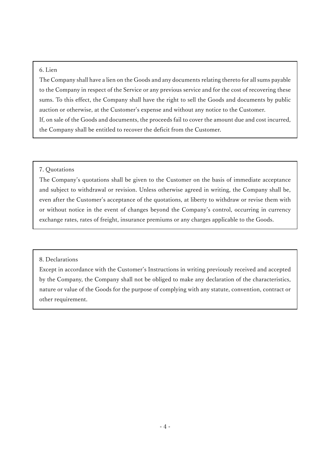### 6. Lien

The Company shall have a lien on the Goods and any documents relating thereto for all sums payable to the Company in respect of the Service or any previous service and for the cost of recovering these sums. To this effect, the Company shall have the right to sell the Goods and documents by public auction or otherwise, at the Customer's expense and without any notice to the Customer. If, on sale of the Goods and documents, the proceeds fail to cover the amount due and cost incurred, the Company shall be entitled to recover the deficit from the Customer.

## 7. Quotations

The Company's quotations shall be given to the Customer on the basis of immediate acceptance and subject to withdrawal or revision. Unless otherwise agreed in writing, the Company shall be, even after the Customer's acceptance of the quotations, at liberty to withdraw or revise them with or without notice in the event of changes beyond the Company's control, occurring in currency exchange rates, rates of freight, insurance premiums or any charges applicable to the Goods.

### 8. Declarations

Except in accordance with the Customer's Instructions in writing previously received and accepted by the Company, the Company shall not be obliged to make any declaration of the characteristics, nature or value of the Goods for the purpose of complying with any statute, convention, contract or other requirement.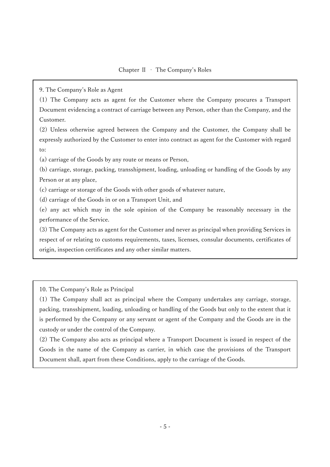9. The Company's Role as Agent

(1) The Company acts as agent for the Customer where the Company procures a Transport Document evidencing a contract of carriage between any Person, other than the Company, and the Customer.

(2) Unless otherwise agreed between the Company and the Customer, the Company shall be expressly authorized by the Customer to enter into contract as agent for the Customer with regard to:

(a) carriage of the Goods by any route or means or Person,

(b) carriage, storage, packing, transshipment, loading, unloading or handling of the Goods by any Person or at any place,

(c) carriage or storage of the Goods with other goods of whatever nature,

(d) carriage of the Goods in or on a Transport Unit, and

(e) any act which may in the sole opinion of the Company be reasonably necessary in the performance of the Service.

(3) The Company acts as agent for the Customer and never as principal when providing Services in respect of or relating to customs requirements, taxes, licenses, consular documents, certificates of origin, inspection certificates and any other similar matters.

10. The Company's Role as Principal

(1) The Company shall act as principal where the Company undertakes any carriage, storage, packing, transshipment, loading, unloading or handling of the Goods but only to the extent that it is performed by the Company or any servant or agent of the Company and the Goods are in the custody or under the control of the Company.

(2) The Company also acts as principal where a Transport Document is issued in respect of the Goods in the name of the Company as carrier, in which case the provisions of the Transport Document shall, apart from these Conditions, apply to the carriage of the Goods.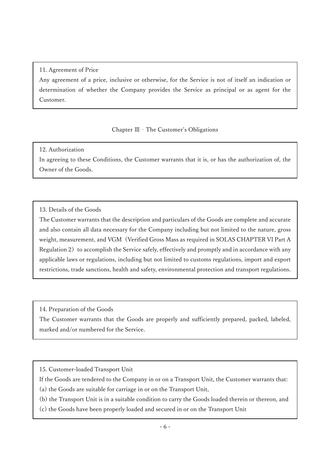## 11. Agreement of Price

Any agreement of a price, inclusive or otherwise, for the Service is not of itself an indication or determination of whether the Company provides the Service as principal or as agent for the Customer.

# Chapter Ⅲ‐The Customer's Obligations

# 12. Authorization

In agreeing to these Conditions, the Customer warrants that it is, or has the authorization of, the Owner of the Goods.

# 13. Details of the Goods

The Customer warrants that the description and particulars of the Goods are complete and accurate and also contain all data necessary for the Company including but not limited to the nature, gross weight, measurement, and VGM(Verified Gross Mass as required in SOLAS CHAPTER VI Part A Regulation 2) to accomplish the Service safely, effectively and promptly and in accordance with any applicable laws or regulations, including but not limited to customs regulations, import and export restrictions, trade sanctions, health and safety, environmental protection and transport regulations.

14. Preparation of the Goods

The Customer warrants that the Goods are properly and sufficiently prepared, packed, labeled, marked and/or numbered for the Service.

15. Customer-loaded Transport Unit

If the Goods are tendered to the Company in or on a Transport Unit, the Customer warrants that:

(a) the Goods are suitable for carriage in or on the Transport Unit,

(b) the Transport Unit is in a suitable condition to carry the Goods loaded therein or thereon, and

(c) the Goods have been properly loaded and secured in or on the Transport Unit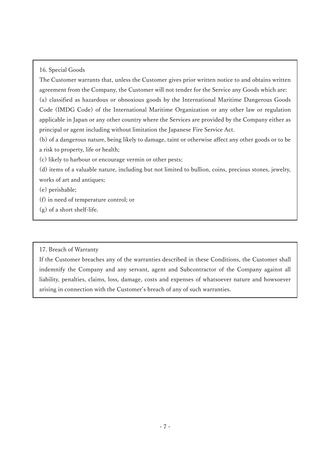16. Special Goods

The Customer warrants that, unless the Customer gives prior written notice to and obtains written agreement from the Company, the Customer will not tender for the Service any Goods which are: (a) classified as hazardous or obnoxious goods by the International Maritime Dangerous Goods Code (IMDG Code) of the International Maritime Organization or any other law or regulation applicable in Japan or any other country where the Services are provided by the Company either as principal or agent including without limitation the Japanese Fire Service Act.

(b) of a dangerous nature, being likely to damage, taint or otherwise affect any other goods or to be a risk to property, life or health;

(c) likely to harbour or encourage vermin or other pests;

(d) items of a valuable nature, including but not limited to bullion, coins, precious stones, jewelry, works of art and antiques;

(e) perishable;

(f) in need of temperature control; or

(g) of a short shelf-life.

17. Breach of Warranty

If the Customer breaches any of the warranties described in these Conditions, the Customer shall indemnify the Company and any servant, agent and Subcontractor of the Company against all liability, penalties, claims, loss, damage, costs and expenses of whatsoever nature and howsoever arising in connection with the Customer's breach of any of such warranties.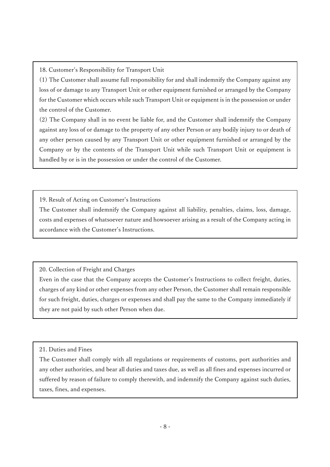18. Customer's Responsibility for Transport Unit

(1) The Customer shall assume full responsibility for and shall indemnify the Company against any loss of or damage to any Transport Unit or other equipment furnished or arranged by the Company for the Customer which occurs while such Transport Unit or equipment is in the possession or under the control of the Customer.

(2) The Company shall in no event be liable for, and the Customer shall indemnify the Company against any loss of or damage to the property of any other Person or any bodily injury to or death of any other person caused by any Transport Unit or other equipment furnished or arranged by the Company or by the contents of the Transport Unit while such Transport Unit or equipment is handled by or is in the possession or under the control of the Customer.

19. Result of Acting on Customer's Instructions

The Customer shall indemnify the Company against all liability, penalties, claims, loss, damage, costs and expenses of whatsoever nature and howsoever arising as a result of the Company acting in accordance with the Customer's Instructions.

20. Collection of Freight and Charges

Even in the case that the Company accepts the Customer's Instructions to collect freight, duties, charges of any kind or other expenses from any other Person, the Customer shall remain responsible for such freight, duties, charges or expenses and shall pay the same to the Company immediately if they are not paid by such other Person when due.

21. Duties and Fines

The Customer shall comply with all regulations or requirements of customs, port authorities and any other authorities, and bear all duties and taxes due, as well as all fines and expenses incurred or suffered by reason of failure to comply therewith, and indemnify the Company against such duties, taxes, fines, and expenses.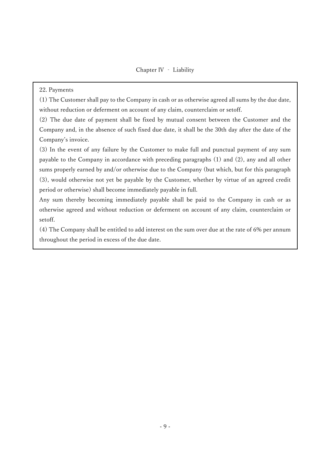22. Payments

(1) The Customer shall pay to the Company in cash or as otherwise agreed all sums by the due date, without reduction or deferment on account of any claim, counterclaim or setoff.

(2) The due date of payment shall be fixed by mutual consent between the Customer and the Company and, in the absence of such fixed due date, it shall be the 30th day after the date of the Company's invoice.

(3) In the event of any failure by the Customer to make full and punctual payment of any sum payable to the Company in accordance with preceding paragraphs (1) and (2), any and all other sums properly earned by and/or otherwise due to the Company (but which, but for this paragraph (3), would otherwise not yet be payable by the Customer, whether by virtue of an agreed credit period or otherwise) shall become immediately payable in full.

Any sum thereby becoming immediately payable shall be paid to the Company in cash or as otherwise agreed and without reduction or deferment on account of any claim, counterclaim or setoff.

(4) The Company shall be entitled to add interest on the sum over due at the rate of 6% per annum throughout the period in excess of the due date.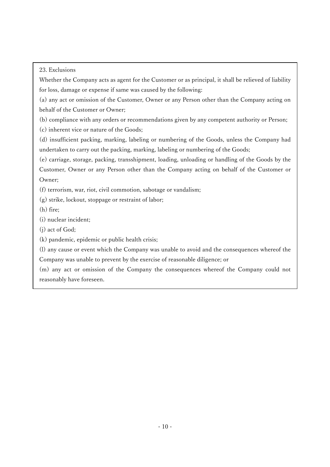23. Exclusions

Whether the Company acts as agent for the Customer or as principal, it shall be relieved of liability for loss, damage or expense if same was caused by the following:

(a) any act or omission of the Customer, Owner or any Person other than the Company acting on behalf of the Customer or Owner;

(b) compliance with any orders or recommendations given by any competent authority or Person;

(c) inherent vice or nature of the Goods;

(d) insufficient packing, marking, labeling or numbering of the Goods, unless the Company had undertaken to carry out the packing, marking, labeling or numbering of the Goods;

(e) carriage, storage, packing, transshipment, loading, unloading or handling of the Goods by the Customer, Owner or any Person other than the Company acting on behalf of the Customer or Owner;

(f) terrorism, war, riot, civil commotion, sabotage or vandalism;

(g) strike, lockout, stoppage or restraint of labor;

(h) fire;

(i) nuclear incident;

(j) act of God;

(k) pandemic, epidemic or public health crisis;

(l) any cause or event which the Company was unable to avoid and the consequences whereof the Company was unable to prevent by the exercise of reasonable diligence; or

(m) any act or omission of the Company the consequences whereof the Company could not reasonably have foreseen.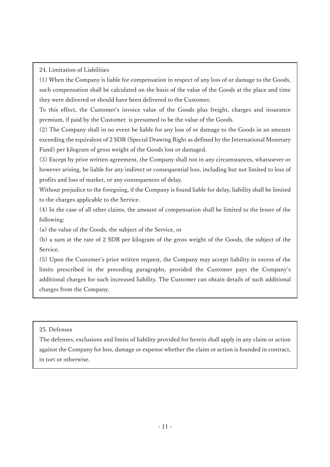24. Limitation of Liabilities

(1) When the Company is liable for compensation in respect of any loss of or damage to the Goods, such compensation shall be calculated on the basis of the value of the Goods at the place and time they were delivered or should have been delivered to the Customer.

To this effect, the Customer's invoice value of the Goods plus freight, charges and insurance premium, if paid by the Customer, is presumed to be the value of the Goods.

(2) The Company shall in no event be liable for any loss of or damage to the Goods in an amount exceeding the equivalent of 2 SDR (Special Drawing Right as defined by the International Monetary Fund) per kilogram of gross weight of the Goods lost or damaged.

(3) Except by prior written agreement, the Company shall not in any circumstances, whatsoever or however arising, be liable for any indirect or consequential loss, including but not limited to loss of profits and loss of market, or any consequences of delay.

Without prejudice to the foregoing, if the Company is found liable for delay, liability shall be limited to the charges applicable to the Service.

(4) In the case of all other claims, the amount of compensation shall be limited to the lesser of the following:

(a) the value of the Goods, the subject of the Service, or

(b) a sum at the rate of 2 SDR per kilogram of the gross weight of the Goods, the subject of the Service.

(5) Upon the Customer's prior written request, the Company may accept liability in excess of the limits prescribed in the preceding paragraphs, provided the Customer pays the Company's additional charges for such increased liability. The Customer can obtain details of such additional charges from the Company.

25. Defenses

The defenses, exclusions and limits of liability provided for herein shall apply in any claim or action against the Company for loss, damage or expense whether the claim or action is founded in contract, in tort or otherwise.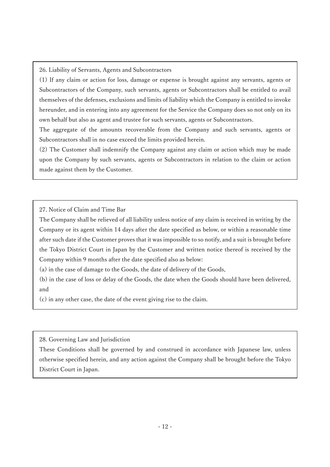26. Liability of Servants, Agents and Subcontractors

(1) If any claim or action for loss, damage or expense is brought against any servants, agents or Subcontractors of the Company, such servants, agents or Subcontractors shall be entitled to avail themselves of the defenses, exclusions and limits of liability which the Company is entitled to invoke hereunder, and in entering into any agreement for the Service the Company does so not only on its own behalf but also as agent and trustee for such servants, agents or Subcontractors.

The aggregate of the amounts recoverable from the Company and such servants, agents or Subcontractors shall in no case exceed the limits provided herein.

(2) The Customer shall indemnify the Company against any claim or action which may be made upon the Company by such servants, agents or Subcontractors in relation to the claim or action made against them by the Customer.

27. Notice of Claim and Time Bar

The Company shall be relieved of all liability unless notice of any claim is received in writing by the Company or its agent within 14 days after the date specified as below, or within a reasonable time after such date if the Customer proves that it was impossible to so notify, and a suit is brought before the Tokyo District Court in Japan by the Customer and written notice thereof is received by the Company within 9 months after the date specified also as below:

(a) in the case of damage to the Goods, the date of delivery of the Goods,

(b) in the case of loss or delay of the Goods, the date when the Goods should have been delivered, and

(c) in any other case, the date of the event giving rise to the claim.

28. Governing Law and Jurisdiction

These Conditions shall be governed by and construed in accordance with Japanese law, unless otherwise specified herein, and any action against the Company shall be brought before the Tokyo District Court in Japan.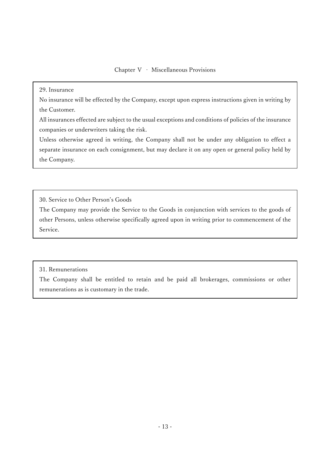### Chapter Ⅴ ‐ Miscellaneous Provisions

29. Insurance

No insurance will be effected by the Company, except upon express instructions given in writing by the Customer.

All insurances effected are subject to the usual exceptions and conditions of policies of the insurance companies or underwriters taking the risk.

Unless otherwise agreed in writing, the Company shall not be under any obligation to effect a separate insurance on each consignment, but may declare it on any open or general policy held by the Company.

30. Service to Other Person's Goods

The Company may provide the Service to the Goods in conjunction with services to the goods of other Persons, unless otherwise specifically agreed upon in writing prior to commencement of the Service.

31. Remunerations

The Company shall be entitled to retain and be paid all brokerages, commissions or other remunerations as is customary in the trade.